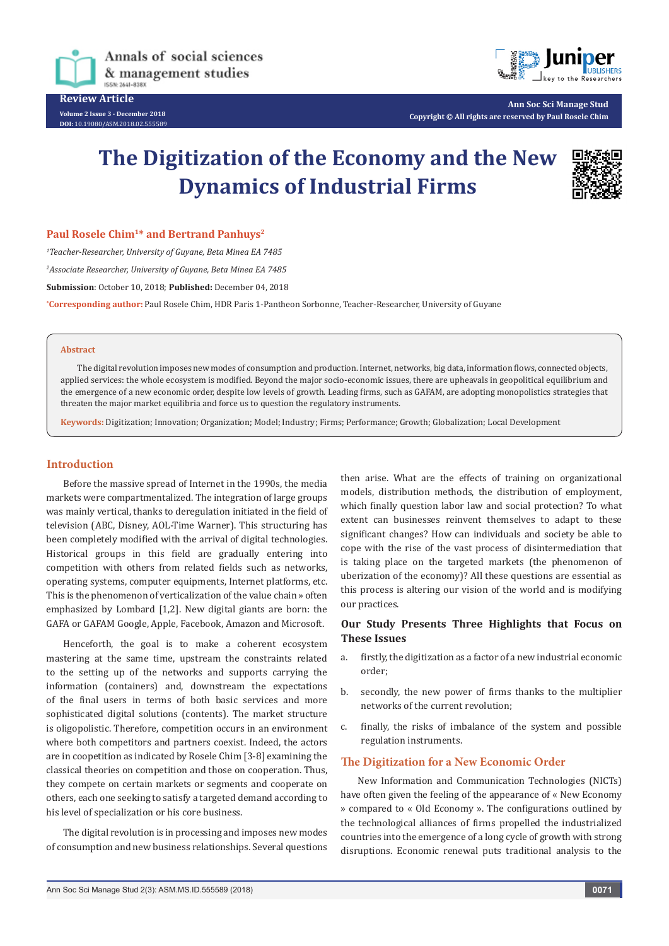

**Review Article Volume 2 Issue 3 - December 2018**

**DOI:** [10.19080/ASM.2018.02.555589](http://dx.doi.org/10.19080/ASM.2018.02.555589
)



**Ann Soc Sci Manage Stud Copyright © All rights are reserved by Paul Rosele Chim**

# **The Digitization of the Economy and the New Dynamics of Industrial Firms**



#### **Paul Rosele Chim<sup>1\*</sup> and Bertrand Panhuys<sup>2</sup>**

*1 Teacher-Researcher, University of Guyane, Beta Minea EA 7485 2 Associate Researcher, University of Guyane, Beta Minea EA 7485* **Submission**: October 10, 2018; **Published:** December 04, 2018 **\* Corresponding author:** Paul Rosele Chim, HDR Paris 1-Pantheon Sorbonne, Teacher-Researcher, University of Guyane

#### **Abstract**

The digital revolution imposes new modes of consumption and production. Internet, networks, big data, information flows, connected objects, applied services: the whole ecosystem is modified. Beyond the major socio-economic issues, there are upheavals in geopolitical equilibrium and the emergence of a new economic order, despite low levels of growth. Leading firms, such as GAFAM, are adopting monopolistics strategies that threaten the major market equilibria and force us to question the regulatory instruments.

**Keywords:** Digitization; Innovation; Organization; Model; Industry; Firms; Performance; Growth; Globalization; Local Development

#### **Introduction**

Before the massive spread of Internet in the 1990s, the media markets were compartmentalized. The integration of large groups was mainly vertical, thanks to deregulation initiated in the field of television (ABC, Disney, AOL-Time Warner). This structuring has been completely modified with the arrival of digital technologies. Historical groups in this field are gradually entering into competition with others from related fields such as networks, operating systems, computer equipments, Internet platforms, etc. This is the phenomenon of verticalization of the value chain » often emphasized by Lombard [1,2]. New digital giants are born: the GAFA or GAFAM Google, Apple, Facebook, Amazon and Microsoft.

Henceforth, the goal is to make a coherent ecosystem mastering at the same time, upstream the constraints related to the setting up of the networks and supports carrying the information (containers) and, downstream the expectations of the final users in terms of both basic services and more sophisticated digital solutions (contents). The market structure is oligopolistic. Therefore, competition occurs in an environment where both competitors and partners coexist. Indeed, the actors are in coopetition as indicated by Rosele Chim [3-8] examining the classical theories on competition and those on cooperation. Thus, they compete on certain markets or segments and cooperate on others, each one seeking to satisfy a targeted demand according to his level of specialization or his core business.

The digital revolution is in processing and imposes new modes of consumption and new business relationships. Several questions

then arise. What are the effects of training on organizational models, distribution methods, the distribution of employment, which finally question labor law and social protection? To what extent can businesses reinvent themselves to adapt to these significant changes? How can individuals and society be able to cope with the rise of the vast process of disintermediation that is taking place on the targeted markets (the phenomenon of uberization of the economy)? All these questions are essential as this process is altering our vision of the world and is modifying our practices.

## **Our Study Presents Three Highlights that Focus on These Issues**

- a. firstly, the digitization as a factor of a new industrial economic order;
- b. secondly, the new power of firms thanks to the multiplier networks of the current revolution;
- c. finally, the risks of imbalance of the system and possible regulation instruments.

### **The Digitization for a New Economic Order**

New Information and Communication Technologies (NICTs) have often given the feeling of the appearance of « New Economy » compared to « Old Economy ». The configurations outlined by the technological alliances of firms propelled the industrialized countries into the emergence of a long cycle of growth with strong disruptions. Economic renewal puts traditional analysis to the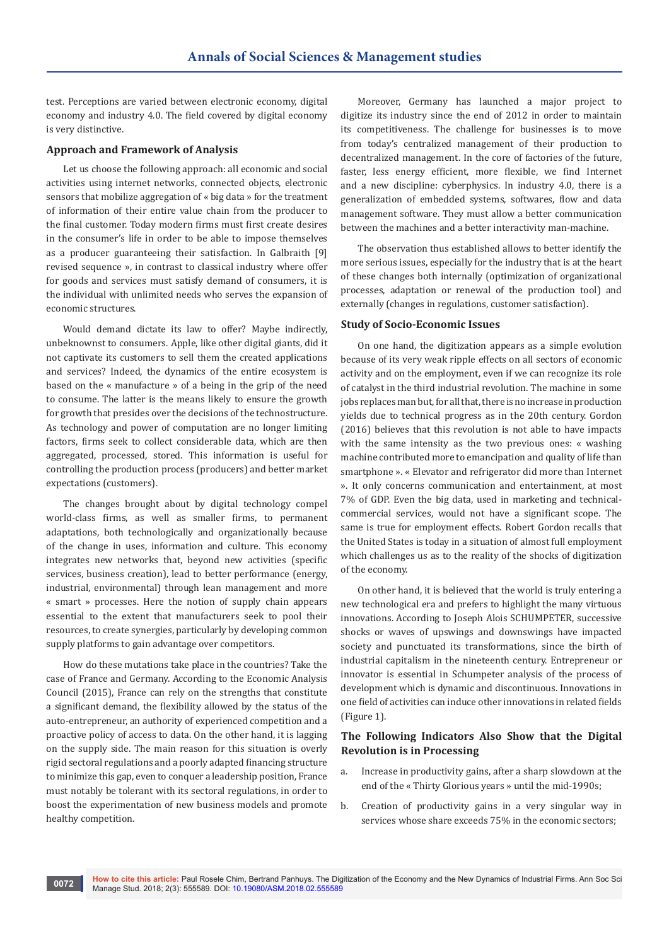test. Perceptions are varied between electronic economy, digital economy and industry 4.0. The field covered by digital economy is very distinctive.

#### **Approach and Framework of Analysis**

Let us choose the following approach: all economic and social activities using internet networks, connected objects, electronic sensors that mobilize aggregation of « big data » for the treatment of information of their entire value chain from the producer to the final customer. Today modern firms must first create desires in the consumer's life in order to be able to impose themselves as a producer guaranteeing their satisfaction. In Galbraith [9] revised sequence », in contrast to classical industry where offer for goods and services must satisfy demand of consumers, it is the individual with unlimited needs who serves the expansion of economic structures.

Would demand dictate its law to offer? Maybe indirectly, unbeknownst to consumers. Apple, like other digital giants, did it not captivate its customers to sell them the created applications and services? Indeed, the dynamics of the entire ecosystem is based on the « manufacture » of a being in the grip of the need to consume. The latter is the means likely to ensure the growth for growth that presides over the decisions of the technostructure. As technology and power of computation are no longer limiting factors, firms seek to collect considerable data, which are then aggregated, processed, stored. This information is useful for controlling the production process (producers) and better market expectations (customers).

The changes brought about by digital technology compel world-class firms, as well as smaller firms, to permanent adaptations, both technologically and organizationally because of the change in uses, information and culture. This economy integrates new networks that, beyond new activities (specific services, business creation), lead to better performance (energy, industrial, environmental) through lean management and more « smart » processes. Here the notion of supply chain appears essential to the extent that manufacturers seek to pool their resources, to create synergies, particularly by developing common supply platforms to gain advantage over competitors.

How do these mutations take place in the countries? Take the case of France and Germany. According to the Economic Analysis Council (2015), France can rely on the strengths that constitute a significant demand, the flexibility allowed by the status of the auto-entrepreneur, an authority of experienced competition and a proactive policy of access to data. On the other hand, it is lagging on the supply side. The main reason for this situation is overly rigid sectoral regulations and a poorly adapted financing structure to minimize this gap, even to conquer a leadership position, France must notably be tolerant with its sectoral regulations, in order to boost the experimentation of new business models and promote healthy competition.

Moreover, Germany has launched a major project to digitize its industry since the end of 2012 in order to maintain its competitiveness. The challenge for businesses is to move from today's centralized management of their production to decentralized management. In the core of factories of the future, faster, less energy efficient, more flexible, we find Internet and a new discipline: cyberphysics. In industry 4.0, there is a generalization of embedded systems, softwares, flow and data management software. They must allow a better communication between the machines and a better interactivity man-machine.

The observation thus established allows to better identify the more serious issues, especially for the industry that is at the heart of these changes both internally (optimization of organizational processes, adaptation or renewal of the production tool) and externally (changes in regulations, customer satisfaction).

#### **Study of Socio-Economic Issues**

On one hand, the digitization appears as a simple evolution because of its very weak ripple effects on all sectors of economic activity and on the employment, even if we can recognize its role of catalyst in the third industrial revolution. The machine in some jobs replaces man but, for all that, there is no increase in production yields due to technical progress as in the 20th century. Gordon (2016) believes that this revolution is not able to have impacts with the same intensity as the two previous ones: « washing machine contributed more to emancipation and quality of life than smartphone ». « Elevator and refrigerator did more than Internet ». It only concerns communication and entertainment, at most 7% of GDP. Even the big data, used in marketing and technicalcommercial services, would not have a significant scope. The same is true for employment effects. Robert Gordon recalls that the United States is today in a situation of almost full employment which challenges us as to the reality of the shocks of digitization of the economy.

On other hand, it is believed that the world is truly entering a new technological era and prefers to highlight the many virtuous innovations. According to Joseph Alois SCHUMPETER, successive shocks or waves of upswings and downswings have impacted society and punctuated its transformations, since the birth of industrial capitalism in the nineteenth century. Entrepreneur or innovator is essential in Schumpeter analysis of the process of development which is dynamic and discontinuous. Innovations in one field of activities can induce other innovations in related fields (Figure 1).

#### **The Following Indicators Also Show that the Digital Revolution is in Processing**

- a. Increase in productivity gains, after a sharp slowdown at the end of the « Thirty Glorious years » until the mid-1990s;
- b. Creation of productivity gains in a very singular way in services whose share exceeds 75% in the economic sectors;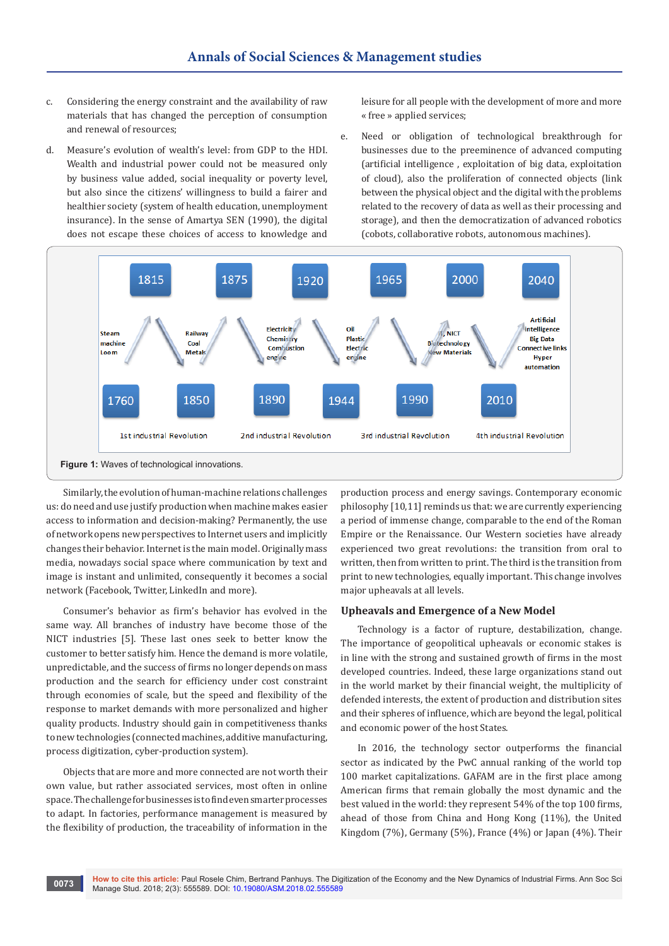- c. Considering the energy constraint and the availability of raw materials that has changed the perception of consumption and renewal of resources;
- d. Measure's evolution of wealth's level: from GDP to the HDI. Wealth and industrial power could not be measured only by business value added, social inequality or poverty level, but also since the citizens' willingness to build a fairer and healthier society (system of health education, unemployment insurance). In the sense of Amartya SEN (1990), the digital does not escape these choices of access to knowledge and

leisure for all people with the development of more and more « free » applied services;

e. Need or obligation of technological breakthrough for businesses due to the preeminence of advanced computing (artificial intelligence , exploitation of big data, exploitation of cloud), also the proliferation of connected objects (link between the physical object and the digital with the problems related to the recovery of data as well as their processing and storage), and then the democratization of advanced robotics (cobots, collaborative robots, autonomous machines).



Similarly, the evolution of human-machine relations challenges us: do need and use justify production when machine makes easier access to information and decision-making? Permanently, the use of network opens new perspectives to Internet users and implicitly changes their behavior. Internet is the main model. Originally mass media, nowadays social space where communication by text and image is instant and unlimited, consequently it becomes a social network (Facebook, Twitter, LinkedIn and more).

Consumer's behavior as firm's behavior has evolved in the same way. All branches of industry have become those of the NICT industries [5]. These last ones seek to better know the customer to better satisfy him. Hence the demand is more volatile, unpredictable, and the success of firms no longer depends on mass production and the search for efficiency under cost constraint through economies of scale, but the speed and flexibility of the response to market demands with more personalized and higher quality products. Industry should gain in competitiveness thanks to new technologies (connected machines, additive manufacturing, process digitization, cyber-production system).

Objects that are more and more connected are not worth their own value, but rather associated services, most often in online space. The challenge for businesses is to find even smarter processes to adapt. In factories, performance management is measured by the flexibility of production, the traceability of information in the

production process and energy savings. Contemporary economic philosophy [10,11] reminds us that: we are currently experiencing a period of immense change, comparable to the end of the Roman Empire or the Renaissance. Our Western societies have already experienced two great revolutions: the transition from oral to written, then from written to print. The third is the transition from print to new technologies, equally important. This change involves major upheavals at all levels.

#### **Upheavals and Emergence of a New Model**

Technology is a factor of rupture, destabilization, change. The importance of geopolitical upheavals or economic stakes is in line with the strong and sustained growth of firms in the most developed countries. Indeed, these large organizations stand out in the world market by their financial weight, the multiplicity of defended interests, the extent of production and distribution sites and their spheres of influence, which are beyond the legal, political and economic power of the host States.

In 2016, the technology sector outperforms the financial sector as indicated by the PwC annual ranking of the world top 100 market capitalizations. GAFAM are in the first place among American firms that remain globally the most dynamic and the best valued in the world: they represent 54% of the top 100 firms, ahead of those from China and Hong Kong (11%), the United Kingdom (7%), Germany (5%), France (4%) or Japan (4%). Their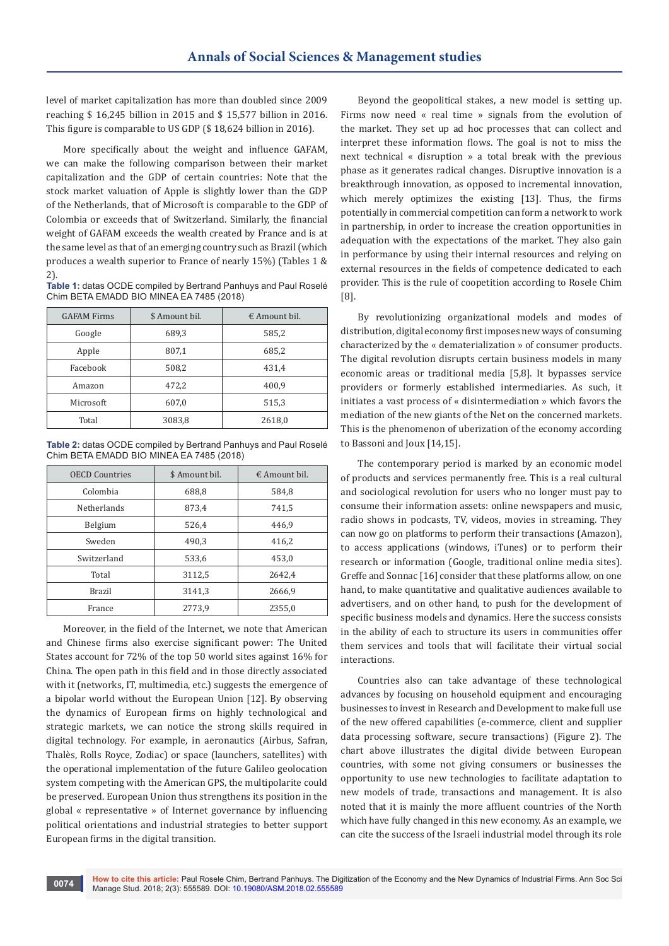level of market capitalization has more than doubled since 2009 reaching \$ 16,245 billion in 2015 and \$ 15,577 billion in 2016. This figure is comparable to US GDP (\$ 18,624 billion in 2016).

More specifically about the weight and influence GAFAM, we can make the following comparison between their market capitalization and the GDP of certain countries: Note that the stock market valuation of Apple is slightly lower than the GDP of the Netherlands, that of Microsoft is comparable to the GDP of Colombia or exceeds that of Switzerland. Similarly, the financial weight of GAFAM exceeds the wealth created by France and is at the same level as that of an emerging country such as Brazil (which produces a wealth superior to France of nearly 15%) (Tables 1 & 2).

**Table 1:** datas OCDE compiled by Bertrand Panhuys and Paul Roselé Chim BETA EMADD BIO MINEA EA 7485 (2018)

| <b>GAFAM Firms</b> | \$ Amount bil. | $\epsilon$ Amount bil. |
|--------------------|----------------|------------------------|
| Google             | 689,3          | 585,2                  |
| Apple              | 807,1          | 685,2                  |
| Facebook           | 508,2          | 431,4                  |
| Amazon             | 472,2          | 400,9                  |
| Microsoft          | 607,0          | 515,3                  |
| Total              | 3083,8         | 2618,0                 |

**Table 2:** datas OCDE compiled by Bertrand Panhuys and Paul Roselé Chim BETA EMADD BIO MINEA EA 7485 (2018)

| <b>OECD Countries</b> | \$ Amount bil. | $\epsilon$ Amount bil. |
|-----------------------|----------------|------------------------|
| Colombia              | 688,8          | 584,8                  |
| <b>Netherlands</b>    | 873,4          | 741,5                  |
| Belgium               | 526,4          | 446,9                  |
| Sweden                | 490,3          | 416,2                  |
| Switzerland           | 533,6          | 453,0                  |
| Total                 | 3112,5         | 2642,4                 |
| <b>Brazil</b>         | 3141,3         | 2666,9                 |
| France                | 2773,9         | 2355,0                 |

Moreover, in the field of the Internet, we note that American and Chinese firms also exercise significant power: The United States account for 72% of the top 50 world sites against 16% for China. The open path in this field and in those directly associated with it (networks, IT, multimedia, etc.) suggests the emergence of a bipolar world without the European Union [12]. By observing the dynamics of European firms on highly technological and strategic markets, we can notice the strong skills required in digital technology. For example, in aeronautics (Airbus, Safran, Thalès, Rolls Royce, Zodiac) or space (launchers, satellites) with the operational implementation of the future Galileo geolocation system competing with the American GPS, the multipolarite could be preserved. European Union thus strengthens its position in the global « representative » of Internet governance by influencing political orientations and industrial strategies to better support European firms in the digital transition.

Beyond the geopolitical stakes, a new model is setting up. Firms now need « real time » signals from the evolution of the market. They set up ad hoc processes that can collect and interpret these information flows. The goal is not to miss the next technical « disruption » a total break with the previous phase as it generates radical changes. Disruptive innovation is a breakthrough innovation, as opposed to incremental innovation, which merely optimizes the existing [13]. Thus, the firms potentially in commercial competition can form a network to work in partnership, in order to increase the creation opportunities in adequation with the expectations of the market. They also gain in performance by using their internal resources and relying on external resources in the fields of competence dedicated to each provider. This is the rule of coopetition according to Rosele Chim [8].

By revolutionizing organizational models and modes of distribution, digital economy first imposes new ways of consuming characterized by the « dematerialization » of consumer products. The digital revolution disrupts certain business models in many economic areas or traditional media [5,8]. It bypasses service providers or formerly established intermediaries. As such, it initiates a vast process of « disintermediation » which favors the mediation of the new giants of the Net on the concerned markets. This is the phenomenon of uberization of the economy according to Bassoni and Joux [14,15].

The contemporary period is marked by an economic model of products and services permanently free. This is a real cultural and sociological revolution for users who no longer must pay to consume their information assets: online newspapers and music, radio shows in podcasts, TV, videos, movies in streaming. They can now go on platforms to perform their transactions (Amazon), to access applications (windows, iTunes) or to perform their research or information (Google, traditional online media sites). Greffe and Sonnac [16] consider that these platforms allow, on one hand, to make quantitative and qualitative audiences available to advertisers, and on other hand, to push for the development of specific business models and dynamics. Here the success consists in the ability of each to structure its users in communities offer them services and tools that will facilitate their virtual social interactions.

Countries also can take advantage of these technological advances by focusing on household equipment and encouraging businesses to invest in Research and Development to make full use of the new offered capabilities (e-commerce, client and supplier data processing software, secure transactions) (Figure 2). The chart above illustrates the digital divide between European countries, with some not giving consumers or businesses the opportunity to use new technologies to facilitate adaptation to new models of trade, transactions and management. It is also noted that it is mainly the more affluent countries of the North which have fully changed in this new economy. As an example, we can cite the success of the Israeli industrial model through its role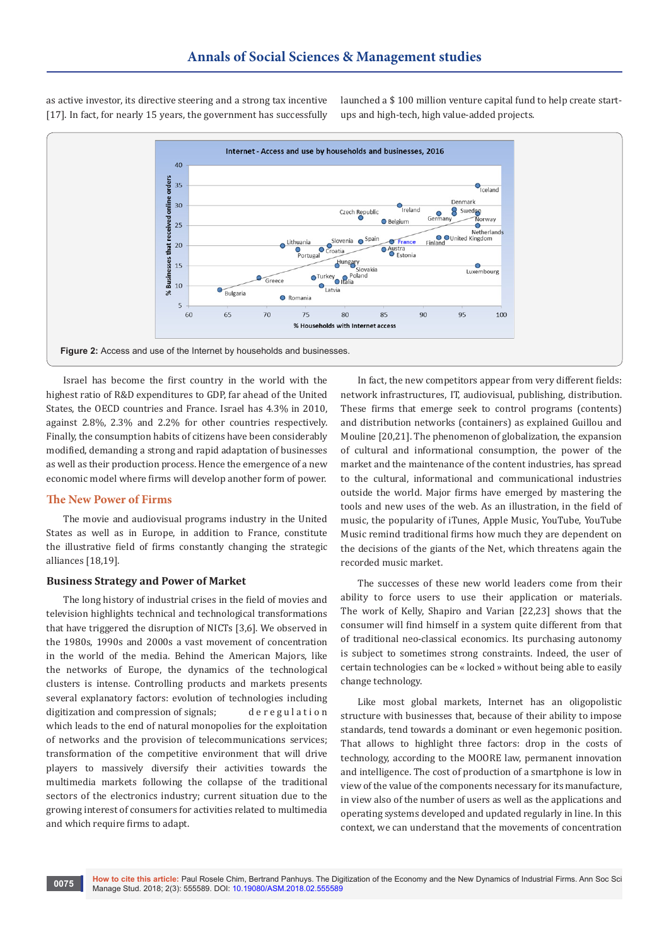as active investor, its directive steering and a strong tax incentive [17]. In fact, for nearly 15 years, the government has successfully launched a \$ 100 million venture capital fund to help create startups and high-tech, high value-added projects.



Israel has become the first country in the world with the highest ratio of R&D expenditures to GDP, far ahead of the United States, the OECD countries and France. Israel has 4.3% in 2010, against 2.8%, 2.3% and 2.2% for other countries respectively. Finally, the consumption habits of citizens have been considerably modified, demanding a strong and rapid adaptation of businesses as well as their production process. Hence the emergence of a new economic model where firms will develop another form of power.

# **The New Power of Firms**

The movie and audiovisual programs industry in the United States as well as in Europe, in addition to France, constitute the illustrative field of firms constantly changing the strategic alliances [18,19].

#### **Business Strategy and Power of Market**

The long history of industrial crises in the field of movies and television highlights technical and technological transformations that have triggered the disruption of NICTs [3,6]. We observed in the 1980s, 1990s and 2000s a vast movement of concentration in the world of the media. Behind the American Majors, like the networks of Europe, the dynamics of the technological clusters is intense. Controlling products and markets presents several explanatory factors: evolution of technologies including digitization and compression of signals; deregulation which leads to the end of natural monopolies for the exploitation of networks and the provision of telecommunications services; transformation of the competitive environment that will drive players to massively diversify their activities towards the multimedia markets following the collapse of the traditional sectors of the electronics industry; current situation due to the growing interest of consumers for activities related to multimedia and which require firms to adapt.

In fact, the new competitors appear from very different fields: network infrastructures, IT, audiovisual, publishing, distribution. These firms that emerge seek to control programs (contents) and distribution networks (containers) as explained Guillou and Mouline [20,21]. The phenomenon of globalization, the expansion of cultural and informational consumption, the power of the market and the maintenance of the content industries, has spread to the cultural, informational and communicational industries outside the world. Major firms have emerged by mastering the tools and new uses of the web. As an illustration, in the field of music, the popularity of iTunes, Apple Music, YouTube, YouTube Music remind traditional firms how much they are dependent on the decisions of the giants of the Net, which threatens again the recorded music market.

The successes of these new world leaders come from their ability to force users to use their application or materials. The work of Kelly, Shapiro and Varian [22,23] shows that the consumer will find himself in a system quite different from that of traditional neo-classical economics. Its purchasing autonomy is subject to sometimes strong constraints. Indeed, the user of certain technologies can be « locked » without being able to easily change technology.

Like most global markets, Internet has an oligopolistic structure with businesses that, because of their ability to impose standards, tend towards a dominant or even hegemonic position. That allows to highlight three factors: drop in the costs of technology, according to the MOORE law, permanent innovation and intelligence. The cost of production of a smartphone is low in view of the value of the components necessary for its manufacture, in view also of the number of users as well as the applications and operating systems developed and updated regularly in line. In this context, we can understand that the movements of concentration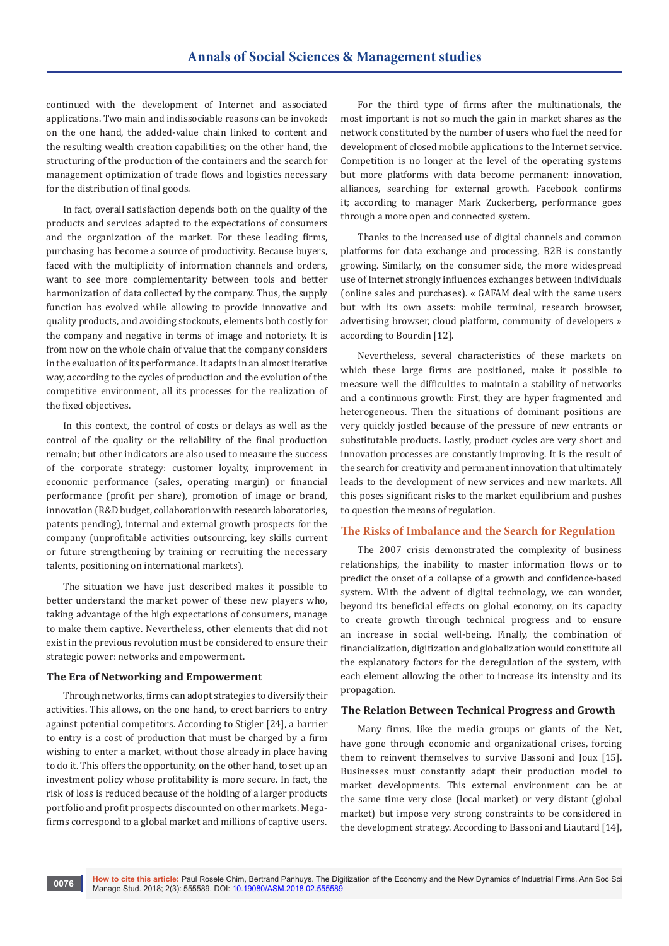continued with the development of Internet and associated applications. Two main and indissociable reasons can be invoked: on the one hand, the added-value chain linked to content and the resulting wealth creation capabilities; on the other hand, the structuring of the production of the containers and the search for management optimization of trade flows and logistics necessary for the distribution of final goods.

In fact, overall satisfaction depends both on the quality of the products and services adapted to the expectations of consumers and the organization of the market. For these leading firms, purchasing has become a source of productivity. Because buyers, faced with the multiplicity of information channels and orders, want to see more complementarity between tools and better harmonization of data collected by the company. Thus, the supply function has evolved while allowing to provide innovative and quality products, and avoiding stockouts, elements both costly for the company and negative in terms of image and notoriety. It is from now on the whole chain of value that the company considers in the evaluation of its performance. It adapts in an almost iterative way, according to the cycles of production and the evolution of the competitive environment, all its processes for the realization of the fixed objectives.

In this context, the control of costs or delays as well as the control of the quality or the reliability of the final production remain; but other indicators are also used to measure the success of the corporate strategy: customer loyalty, improvement in economic performance (sales, operating margin) or financial performance (profit per share), promotion of image or brand, innovation (R&D budget, collaboration with research laboratories, patents pending), internal and external growth prospects for the company (unprofitable activities outsourcing, key skills current or future strengthening by training or recruiting the necessary talents, positioning on international markets).

The situation we have just described makes it possible to better understand the market power of these new players who, taking advantage of the high expectations of consumers, manage to make them captive. Nevertheless, other elements that did not exist in the previous revolution must be considered to ensure their strategic power: networks and empowerment.

#### **The Era of Networking and Empowerment**

Through networks, firms can adopt strategies to diversify their activities. This allows, on the one hand, to erect barriers to entry against potential competitors. According to Stigler [24], a barrier to entry is a cost of production that must be charged by a firm wishing to enter a market, without those already in place having to do it. This offers the opportunity, on the other hand, to set up an investment policy whose profitability is more secure. In fact, the risk of loss is reduced because of the holding of a larger products portfolio and profit prospects discounted on other markets. Megafirms correspond to a global market and millions of captive users.

For the third type of firms after the multinationals, the most important is not so much the gain in market shares as the network constituted by the number of users who fuel the need for development of closed mobile applications to the Internet service. Competition is no longer at the level of the operating systems but more platforms with data become permanent: innovation, alliances, searching for external growth. Facebook confirms it; according to manager Mark Zuckerberg, performance goes through a more open and connected system.

Thanks to the increased use of digital channels and common platforms for data exchange and processing, B2B is constantly growing. Similarly, on the consumer side, the more widespread use of Internet strongly influences exchanges between individuals (online sales and purchases). « GAFAM deal with the same users but with its own assets: mobile terminal, research browser, advertising browser, cloud platform, community of developers » according to Bourdin [12].

Nevertheless, several characteristics of these markets on which these large firms are positioned, make it possible to measure well the difficulties to maintain a stability of networks and a continuous growth: First, they are hyper fragmented and heterogeneous. Then the situations of dominant positions are very quickly jostled because of the pressure of new entrants or substitutable products. Lastly, product cycles are very short and innovation processes are constantly improving. It is the result of the search for creativity and permanent innovation that ultimately leads to the development of new services and new markets. All this poses significant risks to the market equilibrium and pushes to question the means of regulation.

#### **The Risks of Imbalance and the Search for Regulation**

The 2007 crisis demonstrated the complexity of business relationships, the inability to master information flows or to predict the onset of a collapse of a growth and confidence-based system. With the advent of digital technology, we can wonder, beyond its beneficial effects on global economy, on its capacity to create growth through technical progress and to ensure an increase in social well-being. Finally, the combination of financialization, digitization and globalization would constitute all the explanatory factors for the deregulation of the system, with each element allowing the other to increase its intensity and its propagation.

#### **The Relation Between Technical Progress and Growth**

Many firms, like the media groups or giants of the Net, have gone through economic and organizational crises, forcing them to reinvent themselves to survive Bassoni and Joux [15]. Businesses must constantly adapt their production model to market developments. This external environment can be at the same time very close (local market) or very distant (global market) but impose very strong constraints to be considered in the development strategy. According to Bassoni and Liautard [14],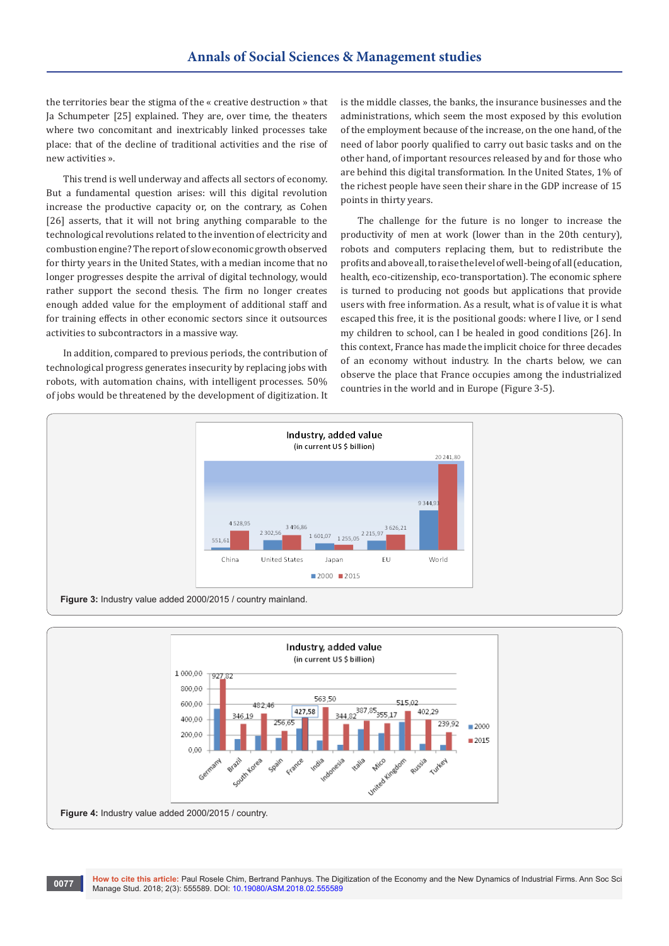the territories bear the stigma of the « creative destruction » that Ja Schumpeter [25] explained. They are, over time, the theaters where two concomitant and inextricably linked processes take place: that of the decline of traditional activities and the rise of new activities ».

This trend is well underway and affects all sectors of economy. But a fundamental question arises: will this digital revolution increase the productive capacity or, on the contrary, as Cohen [26] asserts, that it will not bring anything comparable to the technological revolutions related to the invention of electricity and combustion engine? The report of slow economic growth observed for thirty years in the United States, with a median income that no longer progresses despite the arrival of digital technology, would rather support the second thesis. The firm no longer creates enough added value for the employment of additional staff and for training effects in other economic sectors since it outsources activities to subcontractors in a massive way.

In addition, compared to previous periods, the contribution of technological progress generates insecurity by replacing jobs with robots, with automation chains, with intelligent processes. 50% of jobs would be threatened by the development of digitization. It

is the middle classes, the banks, the insurance businesses and the administrations, which seem the most exposed by this evolution of the employment because of the increase, on the one hand, of the need of labor poorly qualified to carry out basic tasks and on the other hand, of important resources released by and for those who are behind this digital transformation. In the United States, 1% of the richest people have seen their share in the GDP increase of 15 points in thirty years.

The challenge for the future is no longer to increase the productivity of men at work (lower than in the 20th century), robots and computers replacing them, but to redistribute the profits and above all, to raise the level of well-being of all (education, health, eco-citizenship, eco-transportation). The economic sphere is turned to producing not goods but applications that provide users with free information. As a result, what is of value it is what escaped this free, it is the positional goods: where I live, or I send my children to school, can I be healed in good conditions [26]. In this context, France has made the implicit choice for three decades of an economy without industry. In the charts below, we can observe the place that France occupies among the industrialized countries in the world and in Europe (Figure 3-5).



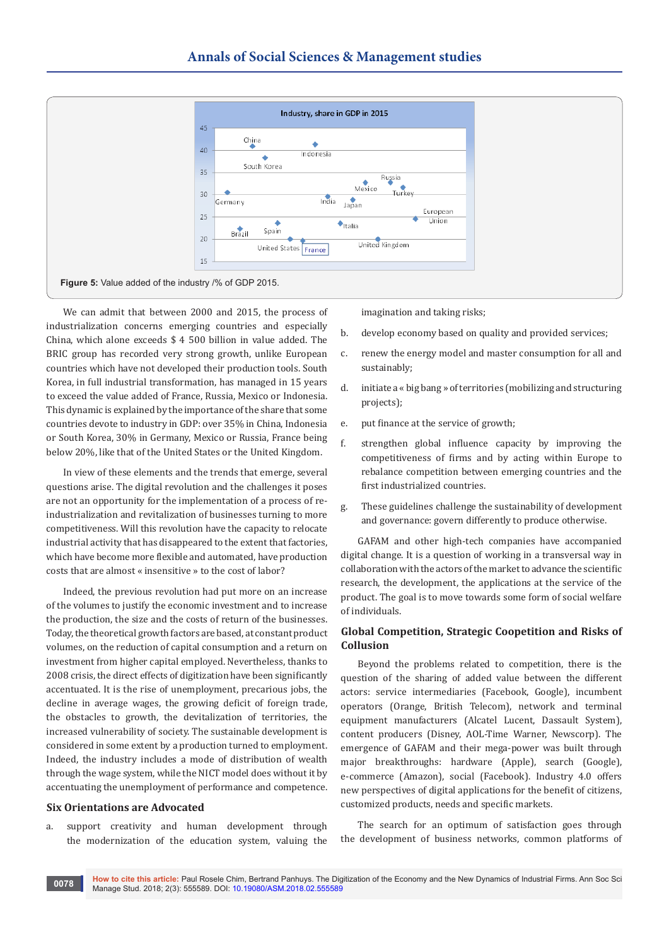

We can admit that between 2000 and 2015, the process of industrialization concerns emerging countries and especially China, which alone exceeds \$ 4 500 billion in value added. The BRIC group has recorded very strong growth, unlike European countries which have not developed their production tools. South Korea, in full industrial transformation, has managed in 15 years to exceed the value added of France, Russia, Mexico or Indonesia. This dynamic is explained by the importance of the share that some countries devote to industry in GDP: over 35% in China, Indonesia or South Korea, 30% in Germany, Mexico or Russia, France being below 20%, like that of the United States or the United Kingdom.

In view of these elements and the trends that emerge, several questions arise. The digital revolution and the challenges it poses are not an opportunity for the implementation of a process of reindustrialization and revitalization of businesses turning to more competitiveness. Will this revolution have the capacity to relocate industrial activity that has disappeared to the extent that factories, which have become more flexible and automated, have production costs that are almost « insensitive » to the cost of labor?

Indeed, the previous revolution had put more on an increase of the volumes to justify the economic investment and to increase the production, the size and the costs of return of the businesses. Today, the theoretical growth factors are based, at constant product volumes, on the reduction of capital consumption and a return on investment from higher capital employed. Nevertheless, thanks to 2008 crisis, the direct effects of digitization have been significantly accentuated. It is the rise of unemployment, precarious jobs, the decline in average wages, the growing deficit of foreign trade, the obstacles to growth, the devitalization of territories, the increased vulnerability of society. The sustainable development is considered in some extent by a production turned to employment. Indeed, the industry includes a mode of distribution of wealth through the wage system, while the NICT model does without it by accentuating the unemployment of performance and competence.

#### **Six Orientations are Advocated**

a. support creativity and human development through the modernization of the education system, valuing the imagination and taking risks;

- b. develop economy based on quality and provided services;
- c. renew the energy model and master consumption for all and sustainably;
- d. initiate a « big bang » of territories (mobilizing and structuring projects);
- e. put finance at the service of growth;
- f. strengthen global influence capacity by improving the competitiveness of firms and by acting within Europe to rebalance competition between emerging countries and the first industrialized countries.
- g. These guidelines challenge the sustainability of development and governance: govern differently to produce otherwise.

GAFAM and other high-tech companies have accompanied digital change. It is a question of working in a transversal way in collaboration with the actors of the market to advance the scientific research, the development, the applications at the service of the product. The goal is to move towards some form of social welfare of individuals.

# **Global Competition, Strategic Coopetition and Risks of Collusion**

Beyond the problems related to competition, there is the question of the sharing of added value between the different actors: service intermediaries (Facebook, Google), incumbent operators (Orange, British Telecom), network and terminal equipment manufacturers (Alcatel Lucent, Dassault System), content producers (Disney, AOL-Time Warner, Newscorp). The emergence of GAFAM and their mega-power was built through major breakthroughs: hardware (Apple), search (Google), e-commerce (Amazon), social (Facebook). Industry 4.0 offers new perspectives of digital applications for the benefit of citizens, customized products, needs and specific markets.

The search for an optimum of satisfaction goes through the development of business networks, common platforms of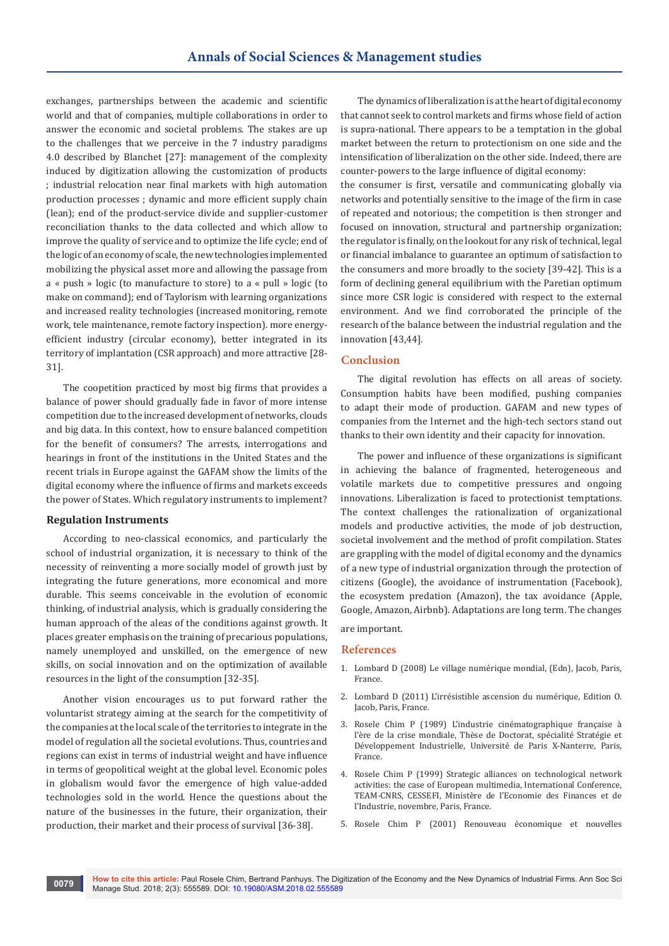exchanges, partnerships between the academic and scientific world and that of companies, multiple collaborations in order to answer the economic and societal problems. The stakes are up to the challenges that we perceive in the 7 industry paradigms 4.0 described by Blanchet [27]: management of the complexity induced by digitization allowing the customization of products ; industrial relocation near final markets with high automation production processes ; dynamic and more efficient supply chain (lean); end of the product-service divide and supplier-customer reconciliation thanks to the data collected and which allow to improve the quality of service and to optimize the life cycle; end of the logic of an economy of scale, the new technologies implemented mobilizing the physical asset more and allowing the passage from a « push » logic (to manufacture to store) to a « pull » logic (to make on command); end of Taylorism with learning organizations and increased reality technologies (increased monitoring, remote work, tele maintenance, remote factory inspection). more energyefficient industry (circular economy), better integrated in its territory of implantation (CSR approach) and more attractive [28- 31].

The coopetition practiced by most big firms that provides a balance of power should gradually fade in favor of more intense competition due to the increased development of networks, clouds and big data. In this context, how to ensure balanced competition for the benefit of consumers? The arrests, interrogations and hearings in front of the institutions in the United States and the recent trials in Europe against the GAFAM show the limits of the digital economy where the influence of firms and markets exceeds the power of States. Which regulatory instruments to implement?

#### **Regulation Instruments**

According to neo-classical economics, and particularly the school of industrial organization, it is necessary to think of the necessity of reinventing a more socially model of growth just by integrating the future generations, more economical and more durable. This seems conceivable in the evolution of economic thinking, of industrial analysis, which is gradually considering the human approach of the aleas of the conditions against growth. It places greater emphasis on the training of precarious populations, namely unemployed and unskilled, on the emergence of new skills, on social innovation and on the optimization of available resources in the light of the consumption [32-35].

Another vision encourages us to put forward rather the voluntarist strategy aiming at the search for the competitivity of the companies at the local scale of the territories to integrate in the model of regulation all the societal evolutions. Thus, countries and regions can exist in terms of industrial weight and have influence in terms of geopolitical weight at the global level. Economic poles in globalism would favor the emergence of high value-added technologies sold in the world. Hence the questions about the nature of the businesses in the future, their organization, their production, their market and their process of survival [36-38].

The dynamics of liberalization is at the heart of digital economy that cannot seek to control markets and firms whose field of action is supra-national. There appears to be a temptation in the global market between the return to protectionism on one side and the intensification of liberalization on the other side. Indeed, there are counter-powers to the large influence of digital economy:

the consumer is first, versatile and communicating globally via networks and potentially sensitive to the image of the firm in case of repeated and notorious; the competition is then stronger and focused on innovation, structural and partnership organization; the regulator is finally, on the lookout for any risk of technical, legal or financial imbalance to guarantee an optimum of satisfaction to the consumers and more broadly to the society [39-42]. This is a form of declining general equilibrium with the Paretian optimum since more CSR logic is considered with respect to the external environment. And we find corroborated the principle of the research of the balance between the industrial regulation and the innovation [43,44].

#### **Conclusion**

The digital revolution has effects on all areas of society. Consumption habits have been modified, pushing companies to adapt their mode of production. GAFAM and new types of companies from the Internet and the high-tech sectors stand out thanks to their own identity and their capacity for innovation.

The power and influence of these organizations is significant in achieving the balance of fragmented, heterogeneous and volatile markets due to competitive pressures and ongoing innovations. Liberalization is faced to protectionist temptations. The context challenges the rationalization of organizational models and productive activities, the mode of job destruction, societal involvement and the method of profit compilation. States are grappling with the model of digital economy and the dynamics of a new type of industrial organization through the protection of citizens (Google), the avoidance of instrumentation (Facebook), the ecosystem predation (Amazon), the tax avoidance (Apple, Google, Amazon, Airbnb). Adaptations are long term. The changes are important.

# **References**

- 1. Lombard D (2008) Le village numérique mondial, (Edn), Jacob, Paris, France.
- 2. Lombard D (2011) L'irrésistible ascension du numérique, Edition O. Jacob, Paris, France.
- 3. Rosele Chim P (1989) L'industrie cinématographique française à l'ère de la crise mondiale, Thèse de Doctorat, spécialité Stratégie et Développement Industrielle, Université de Paris X-Nanterre, Paris, France.
- 4. Rosele Chim P (1999) Strategic alliances on technological network activities: the case of European multimedia, International Conference, TEAM-CNRS, CESSEFI, Ministère de l'Economie des Finances et de l'Industrie, novembre, Paris, France.
- 5. Rosele Chim P (2001) Renouveau économique et nouvelles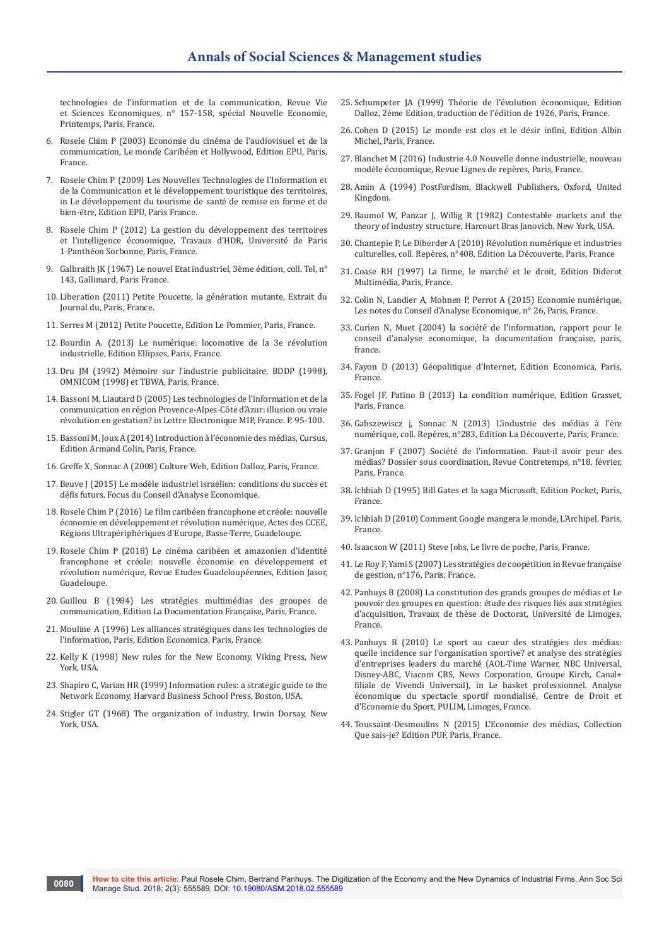technologies de l'information et de la communication, Revue Vie et Sciences Economiques, n° 157-158, spécial Nouvelle Economie, Printemps, Paris, France.

- 6. Rosele Chim P (2003) Economie du cinéma de l'audiovisuel et de la communication, Le monde Caribéen et Hollywood, Edition EPU, Paris, France.
- 7. Rosele Chim P (2009) Les Nouvelles Technologies de l'Information et de la Communication et le développement touristique des territoires, in Le développement du tourisme de santé de remise en forme et de bien-être, Edition EPU, Paris France.
- 8. Rosele Chim P (2012) La gestion du développement des territoires et l'intelligence économique, Travaux d'HDR, Université de Paris 1-Panthéon Sorbonne, Paris, France.
- 9. Galbraith JK (1967) Le nouvel Etat industriel, 3ème édition, coll. Tel, n° 143, Gallimard, Paris France.
- 10. Liberation (2011) Petite Poucette, la génération mutante, Extrait du Journal du, Paris, France.
- 11. Serres M (2012) Petite Poucette, Edition Le Pommier, Paris, France.
- 12. Bourdin A. (2013) Le numérique: locomotive de la 3e révolution industrielle, Edition Ellipses, Paris, France.
- 13. Dru JM (1992) Mémoire sur l'industrie publicitaire, BDDP (1998), OMNICOM (1998) et TBWA, Paris, France.
- 14. [Bassoni M, Liautard D \(2005\) Les technologies de l'information et de la](https://journals.openedition.org/mediterranee/435)  [communication en région Provence-Alpes-Côte d'Azur: illusion ou vraie](https://journals.openedition.org/mediterranee/435)  [révolution en gestation? in Lettre Electronique MIP, France. P. 95-100.](https://journals.openedition.org/mediterranee/435)
- 15. Bassoni M, Joux A (2014) Introduction à l'économie des médias, Cursus, Edition Armand Colin, Paris, France.
- 16. Greffe X, Sonnac A (2008) Culture Web, Edition Dalloz, Paris, France.
- 17. Beuve J (2015) Le modèle industriel israélien: conditions du succès et défis futurs. Focus du Conseil d'Analyse Economique.
- 18. Rosele Chim P (2016) Le film caribéen francophone et créole: nouvelle économie en développement et révolution numérique, Actes des CCEE, Régions Ultrapériphériques d'Europe, Basse-Terre, Guadeloupe.
- 19. Rosele Chim P (2018) Le cinéma caribéen et amazonien d'identité francophone et créole: nouvelle économie en développement et révolution numérique, Revue Etudes Guadeloupéennes, Edition Jasor, Guadeloupe.
- 20. Guillou B (1984) Les stratégies multimédias des groupes de communication, Edition La Documentation Française, Paris, France.
- 21. Mouline A (1996) Les alliances stratégiques dans les technologies de l'information, Paris, Edition Economica, Paris, France.
- 22. Kelly K (1998) New rules for the New Economy, Viking Press, New York, USA
- 23. Shapiro C, Varian HR (1999) Information rules: a strategic guide to the Network Economy, Harvard Business School Press, Boston, USA.
- 24. Stigler GT (1968) The organization of industry, Irwin Dorsay, New York, USA.
- 25. Schumpeter JA (1999) Théorie de l'évolution économique, Edition Dalloz, 2ème Edition, traduction de l'édition de 1926, Paris, France.
- 26. Cohen D (2015) Le monde est clos et le désir infini, Edition Albin Michel, Paris, France.
- 27. Blanchet M (2016) Industrie 4.0 Nouvelle donne industrielle, nouveau modèle économique, Revue Lignes de repères, Paris, France.
- 28. Amin A (1994) PostFordism, Blackwell Publishers, Oxford, United Kingdom.
- 29. Baumol W, Panzar J, Willig R (1982) Contestable markets and the theory of industry structure, Harcourt Bras Janovich, New York, USA.
- 30. Chantepie P, Le Diberder A (2010) Révolution numérique et industries culturelles, coll. Repères, n°408, Edition La Découverte, Paris, France
- 31. Coase RH (1997) La firme, le marché et le droit, Edition Diderot Multimédia, Paris, France.
- 32. Colin N, Landier A, Mohnen P, Perrot A (2015) Economie numérique, Les notes du Conseil d'Analyse Economique, n° 26, Paris, France.
- 33. Curien N, Muet (2004) la société de l'information, rapport pour le conseil d'analyse economique, la documentation française, paris, france.
- 34. Fayon D (2013) Géopolitique d'Internet, Edition Economica, Paris, France.
- 35. Fogel JF, Patino B (2013) La condition numérique, Edition Grasset, Paris, France.
- 36. Gabszewiscz j, Sonnac N (2013) L'industrie des médias à l'ère numérique, coll. Repères, n°283, Edition La Découverte, Paris, France.
- 37. Granjon F (2007) Société de l'information. Faut-il avoir peur des médias? Dossier sous coordination, Revue Contretemps, n°18, février, Paris, France.
- 38. Ichbiah D (1995) Bill Gates et la saga Microsoft, Edition Pocket, Paris, France.
- 39. Ichbiah D (2010) Comment Google mangera le monde, L'Archipel, Paris, France.
- 40. Isaacson W (2011) Steve Jobs, Le livre de poche, Paris, France.
- 41. Le Roy F, Yami S (2007) Les stratégies de coopétition in Revue française de gestion, n°176, Paris, France.
- 42. Panhuys B (2008) La constitution des grands groupes de médias et Le pouvoir des groupes en question: étude des risques liés aux stratégies d'acquisition, Travaux de thèse de Doctorat, Université de Limoges, France.
- 43. Panhuys B (2010) Le sport au caeur des stratégies des médias: quelle incidence sur l'organisation sportive? et analyse des stratégies d'entreprises leaders du marché (AOL-Time Warner, NBC Universal, Disney-ABC, Viacom CBS, News Corporation, Groupe Kirch, Canal+ filiale de Vivendi Universal), in Le basket professionnel. Analyse économique du spectacle sportif mondialisé, Centre de Droit et d'Economie du Sport, PULIM, Limoges, France.
- 44. Toussaint-Desmoulins N (2015) L'Economie des médias, Collection Que sais-je? Edition PUF, Paris, France.